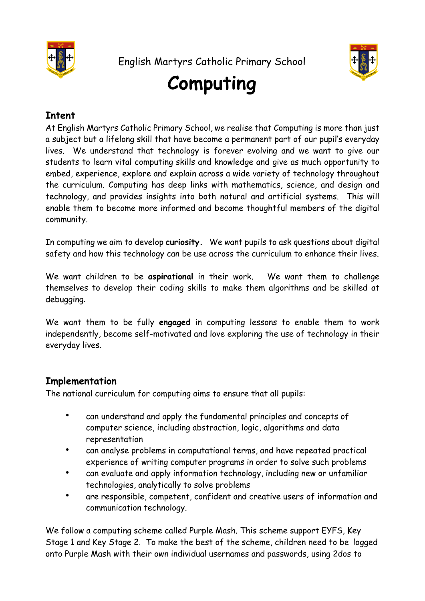



## **Computing**

## **Intent**

At English Martyrs Catholic Primary School, we realise that Computing is more than just a subject but a lifelong skill that have become a permanent part of our pupil's everyday lives. We understand that technology is forever evolving and we want to give our students to learn vital computing skills and knowledge and give as much opportunity to embed, experience, explore and explain across a wide variety of technology throughout the curriculum. Computing has deep links with mathematics, science, and design and technology, and provides insights into both natural and artificial systems. This will enable them to become more informed and become thoughtful members of the digital community.

In computing we aim to develop **curiosity.** We want pupils to ask questions about digital safety and how this technology can be use across the curriculum to enhance their lives.

We want children to be **aspirational** in their work. We want them to challenge themselves to develop their coding skills to make them algorithms and be skilled at debugging.

We want them to be fully **engaged** in computing lessons to enable them to work independently, become self-motivated and love exploring the use of technology in their everyday lives.

## **Implementation**

The national curriculum for computing aims to ensure that all pupils:

- can understand and apply the fundamental principles and concepts of computer science, including abstraction, logic, algorithms and data representation
- can analyse problems in computational terms, and have repeated practical experience of writing computer programs in order to solve such problems
- can evaluate and apply information technology, including new or unfamiliar technologies, analytically to solve problems
- are responsible, competent, confident and creative users of information and communication technology.

We follow a computing scheme called Purple Mash. This scheme support EYFS, Key Stage 1 and Key Stage 2. To make the best of the scheme, children need to be logged onto Purple Mash with their own individual usernames and passwords, using 2dos to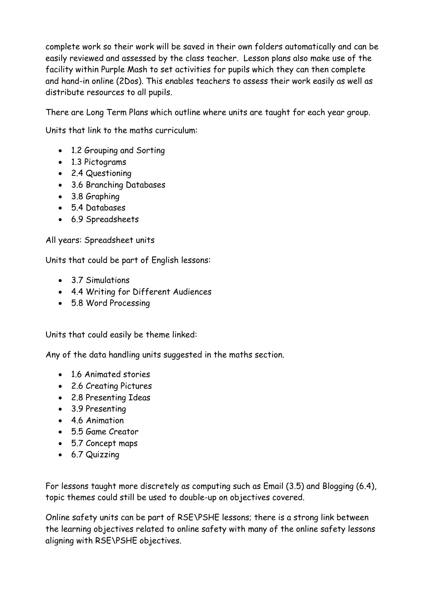complete work so their work will be saved in their own folders automatically and can be easily reviewed and assessed by the class teacher. Lesson plans also make use of the facility within Purple Mash to set activities for pupils which they can then complete and hand-in online (2Dos). This enables teachers to assess their work easily as well as distribute resources to all pupils.

There are Long Term Plans which outline where units are taught for each year group.

Units that link to the maths curriculum:

- 1.2 Grouping and Sorting
- 1.3 Pictograms
- 2.4 Questioning
- 3.6 Branching Databases
- 3.8 Graphing
- 5.4 Databases
- 6.9 Spreadsheets

All years: Spreadsheet units

Units that could be part of English lessons:

- 3.7 Simulations
- 4.4 Writing for Different Audiences
- 5.8 Word Processing

Units that could easily be theme linked:

Any of the data handling units suggested in the maths section.

- 1.6 Animated stories
- 2.6 Creating Pictures
- 2.8 Presenting Ideas
- 3.9 Presenting
- 4.6 Animation
- 5.5 Game Creator
- 5.7 Concept maps
- 6.7 Quizzing

For lessons taught more discretely as computing such as Email (3.5) and Blogging (6.4), topic themes could still be used to double-up on objectives covered.

Online safety units can be part of RSE\PSHE lessons; there is a strong link between the learning objectives related to online safety with many of the online safety lessons aligning with RSE\PSHE objectives.